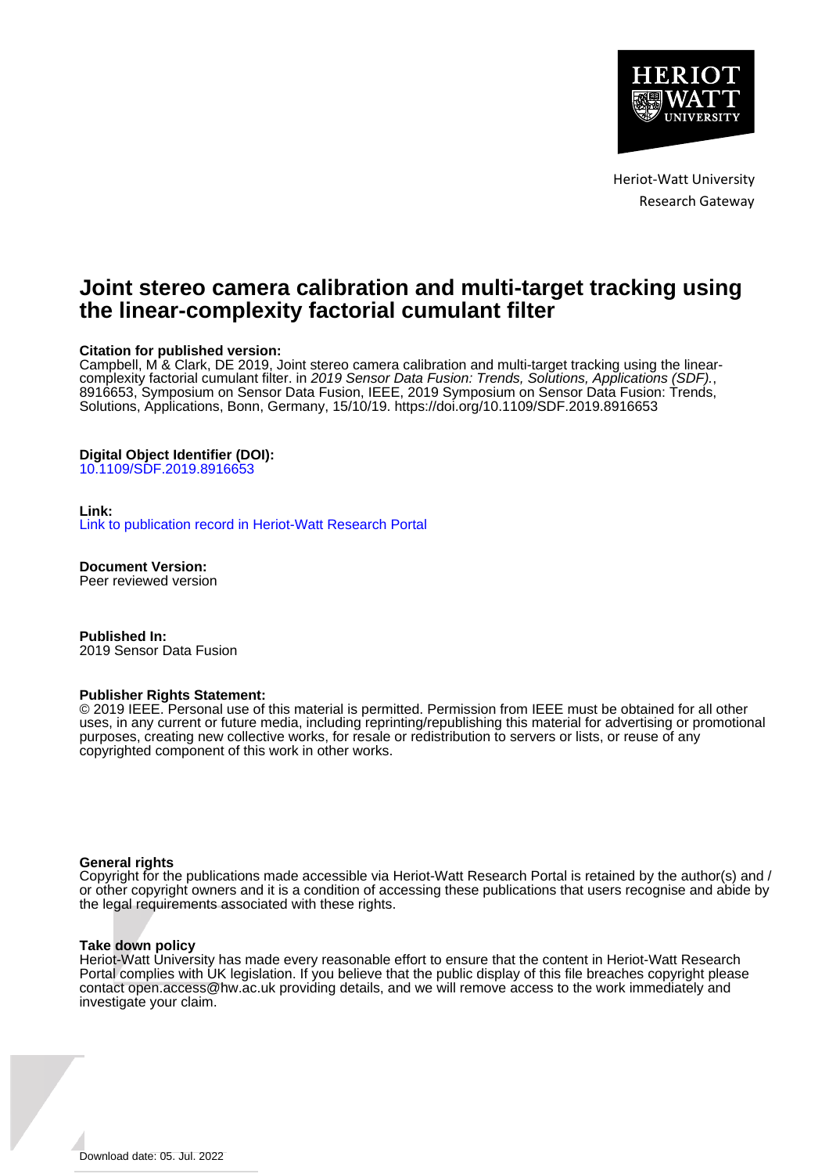

Heriot-Watt University Research Gateway

## **Joint stereo camera calibration and multi-target tracking using the linear-complexity factorial cumulant filter**

### **Citation for published version:**

Campbell, M & Clark, DE 2019, Joint stereo camera calibration and multi-target tracking using the linearcomplexity factorial cumulant filter. in 2019 Sensor Data Fusion: Trends, Solutions, Applications (SDF)., 8916653, Symposium on Sensor Data Fusion, IEEE, 2019 Symposium on Sensor Data Fusion: Trends, Solutions, Applications, Bonn, Germany, 15/10/19.<https://doi.org/10.1109/SDF.2019.8916653>

### **Digital Object Identifier (DOI):**

[10.1109/SDF.2019.8916653](https://doi.org/10.1109/SDF.2019.8916653)

#### **Link:**

[Link to publication record in Heriot-Watt Research Portal](https://researchportal.hw.ac.uk/en/publications/9c4a0f8a-0031-4c38-a00b-c6df20acc9cb)

**Document Version:** Peer reviewed version

**Published In:** 2019 Sensor Data Fusion

#### **Publisher Rights Statement:**

© 2019 IEEE. Personal use of this material is permitted. Permission from IEEE must be obtained for all other uses, in any current or future media, including reprinting/republishing this material for advertising or promotional purposes, creating new collective works, for resale or redistribution to servers or lists, or reuse of any copyrighted component of this work in other works.

#### **General rights**

Copyright for the publications made accessible via Heriot-Watt Research Portal is retained by the author(s) and / or other copyright owners and it is a condition of accessing these publications that users recognise and abide by the legal requirements associated with these rights.

#### **Take down policy**

Heriot-Watt University has made every reasonable effort to ensure that the content in Heriot-Watt Research Portal complies with UK legislation. If you believe that the public display of this file breaches copyright please contact open.access@hw.ac.uk providing details, and we will remove access to the work immediately and investigate your claim.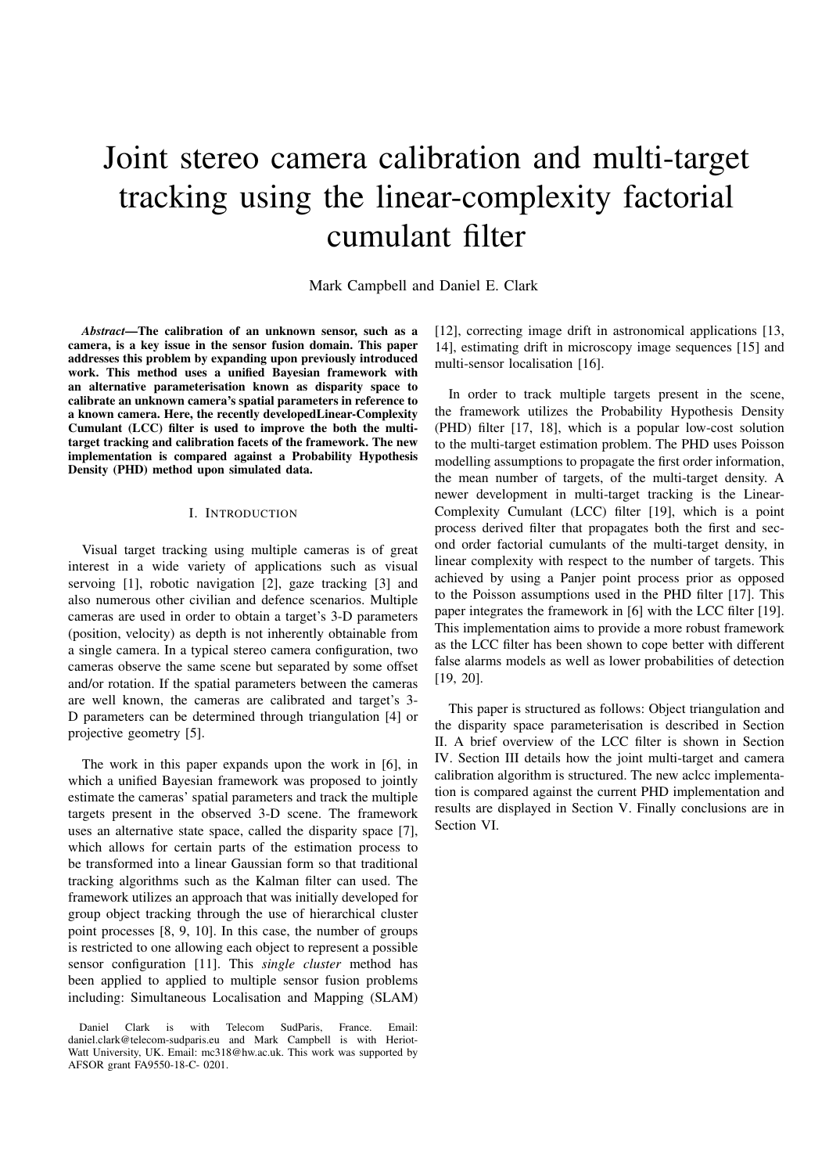# Joint stereo camera calibration and multi-target tracking using the linear-complexity factorial cumulant filter

Mark Campbell and Daniel E. Clark

*Abstract*—The calibration of an unknown sensor, such as a camera, is a key issue in the sensor fusion domain. This paper addresses this problem by expanding upon previously introduced work. This method uses a unified Bayesian framework with an alternative parameterisation known as disparity space to calibrate an unknown camera's spatial parameters in reference to a known camera. Here, the recently developedLinear-Complexity Cumulant (LCC) filter is used to improve the both the multitarget tracking and calibration facets of the framework. The new implementation is compared against a Probability Hypothesis Density (PHD) method upon simulated data.

#### I. INTRODUCTION

Visual target tracking using multiple cameras is of great interest in a wide variety of applications such as visual servoing [1], robotic navigation [2], gaze tracking [3] and also numerous other civilian and defence scenarios. Multiple cameras are used in order to obtain a target's 3-D parameters (position, velocity) as depth is not inherently obtainable from a single camera. In a typical stereo camera configuration, two cameras observe the same scene but separated by some offset and/or rotation. If the spatial parameters between the cameras are well known, the cameras are calibrated and target's 3- D parameters can be determined through triangulation [4] or projective geometry [5].

The work in this paper expands upon the work in [6], in which a unified Bayesian framework was proposed to jointly estimate the cameras' spatial parameters and track the multiple targets present in the observed 3-D scene. The framework uses an alternative state space, called the disparity space [7], which allows for certain parts of the estimation process to be transformed into a linear Gaussian form so that traditional tracking algorithms such as the Kalman filter can used. The framework utilizes an approach that was initially developed for group object tracking through the use of hierarchical cluster point processes [8, 9, 10]. In this case, the number of groups is restricted to one allowing each object to represent a possible sensor configuration [11]. This *single cluster* method has been applied to applied to multiple sensor fusion problems including: Simultaneous Localisation and Mapping (SLAM) [12], correcting image drift in astronomical applications [13, 14], estimating drift in microscopy image sequences [15] and multi-sensor localisation [16].

In order to track multiple targets present in the scene, the framework utilizes the Probability Hypothesis Density (PHD) filter [17, 18], which is a popular low-cost solution to the multi-target estimation problem. The PHD uses Poisson modelling assumptions to propagate the first order information, the mean number of targets, of the multi-target density. A newer development in multi-target tracking is the Linear-Complexity Cumulant (LCC) filter [19], which is a point process derived filter that propagates both the first and second order factorial cumulants of the multi-target density, in linear complexity with respect to the number of targets. This achieved by using a Panjer point process prior as opposed to the Poisson assumptions used in the PHD filter [17]. This paper integrates the framework in [6] with the LCC filter [19]. This implementation aims to provide a more robust framework as the LCC filter has been shown to cope better with different false alarms models as well as lower probabilities of detection [19, 20].

This paper is structured as follows: Object triangulation and the disparity space parameterisation is described in Section II. A brief overview of the LCC filter is shown in Section IV. Section III details how the joint multi-target and camera calibration algorithm is structured. The new aclcc implementation is compared against the current PHD implementation and results are displayed in Section V. Finally conclusions are in Section VI.

Daniel Clark is with Telecom SudParis, France. Email: daniel.clark@telecom-sudparis.eu and Mark Campbell is with Heriot-Watt University, UK. Email: mc318@hw.ac.uk. This work was supported by AFSOR grant FA9550-18-C- 0201.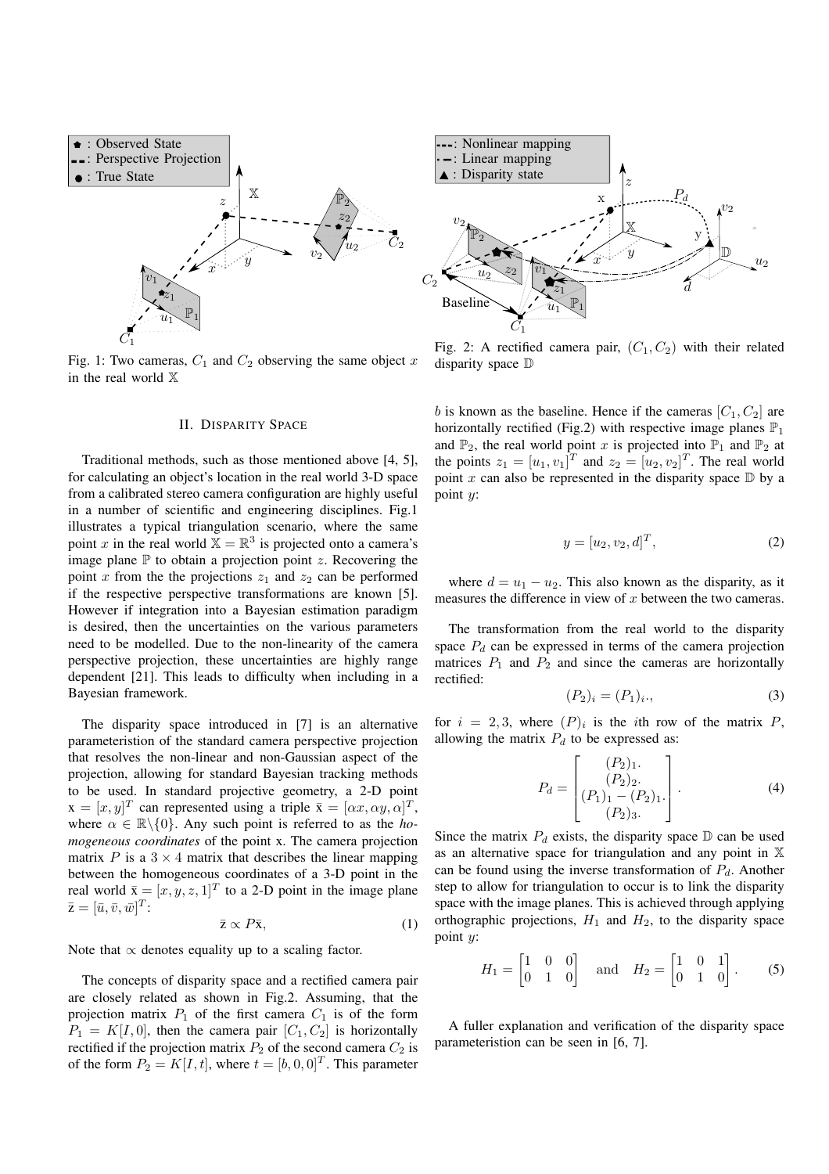

Fig. 1: Two cameras,  $C_1$  and  $C_2$  observing the same object x in the real world X

#### II. DISPARITY SPACE

Traditional methods, such as those mentioned above [4, 5], for calculating an object's location in the real world 3-D space from a calibrated stereo camera configuration are highly useful in a number of scientific and engineering disciplines. Fig.1 illustrates a typical triangulation scenario, where the same point x in the real world  $\overline{X} = \mathbb{R}^3$  is projected onto a camera's image plane  $\mathbb P$  to obtain a projection point z. Recovering the point x from the the projections  $z_1$  and  $z_2$  can be performed if the respective perspective transformations are known [5]. However if integration into a Bayesian estimation paradigm is desired, then the uncertainties on the various parameters need to be modelled. Due to the non-linearity of the camera perspective projection, these uncertainties are highly range dependent [21]. This leads to difficulty when including in a Bayesian framework.

The disparity space introduced in [7] is an alternative parameteristion of the standard camera perspective projection that resolves the non-linear and non-Gaussian aspect of the projection, allowing for standard Bayesian tracking methods to be used. In standard projective geometry, a 2-D point  $\mathbf{x} = [x, y]^T$  can represented using a triple  $\bar{\mathbf{x}} = [\alpha x, \alpha y, \alpha]^T$ , where  $\alpha \in \mathbb{R} \backslash \{0\}$ . Any such point is referred to as the *homogeneous coordinates* of the point x. The camera projection matrix  $P$  is a  $3 \times 4$  matrix that describes the linear mapping between the homogeneous coordinates of a 3-D point in the real world  $\bar{x} = [x, y, z, 1]^T$  to a 2-D point in the image plane  $\bar{\mathbf{z}} = [\bar{u}, \bar{v}, \bar{w}]^T$ :

$$
\bar{z} \propto P\bar{x},\tag{1}
$$

Note that  $\propto$  denotes equality up to a scaling factor.

The concepts of disparity space and a rectified camera pair are closely related as shown in Fig.2. Assuming, that the projection matrix  $P_1$  of the first camera  $C_1$  is of the form  $P_1 = K[I, 0]$ , then the camera pair  $[C_1, C_2]$  is horizontally rectified if the projection matrix  $P_2$  of the second camera  $C_2$  is of the form  $P_2 = K[I, t]$ , where  $t = [b, 0, 0]^T$ . This parameter



Fig. 2: A rectified camera pair,  $(C_1, C_2)$  with their related disparity space  $D$ 

b is known as the baseline. Hence if the cameras  $[C_1, C_2]$  are horizontally rectified (Fig.2) with respective image planes  $\mathbb{P}_1$ and  $\mathbb{P}_2$ , the real world point x is projected into  $\mathbb{P}_1$  and  $\mathbb{P}_2$  at the points  $z_1 = [u_1, v_1]^T$  and  $z_2 = [u_2, v_2]^T$ . The real world point x can also be represented in the disparity space  $D$  by a point y:

$$
y = [u_2, v_2, d]^T, \t\t(2)
$$

where  $d = u_1 - u_2$ . This also known as the disparity, as it measures the difference in view of  $x$  between the two cameras.

The transformation from the real world to the disparity space  $P_d$  can be expressed in terms of the camera projection matrices  $P_1$  and  $P_2$  and since the cameras are horizontally rectified:

$$
(P_2)_i = (P_1)_i \tag{3}
$$

for  $i = 2, 3$ , where  $(P)_i$  is the *i*th row of the matrix P, allowing the matrix  $P_d$  to be expressed as:

$$
P_d = \begin{bmatrix} (P_2)_1. \\ (P_2)_2. \\ (P_1)_1 - (P_2)_1. \\ (P_2)_3. \end{bmatrix} .
$$
 (4)

Since the matrix  $P_d$  exists, the disparity space  $D$  can be used as an alternative space for triangulation and any point in  $X$ can be found using the inverse transformation of  $P_d$ . Another step to allow for triangulation to occur is to link the disparity space with the image planes. This is achieved through applying orthographic projections,  $H_1$  and  $H_2$ , to the disparity space point y:

$$
H_1 = \begin{bmatrix} 1 & 0 & 0 \\ 0 & 1 & 0 \end{bmatrix} \quad \text{and} \quad H_2 = \begin{bmatrix} 1 & 0 & 1 \\ 0 & 1 & 0 \end{bmatrix}.
$$
 (5)

A fuller explanation and verification of the disparity space parameteristion can be seen in [6, 7].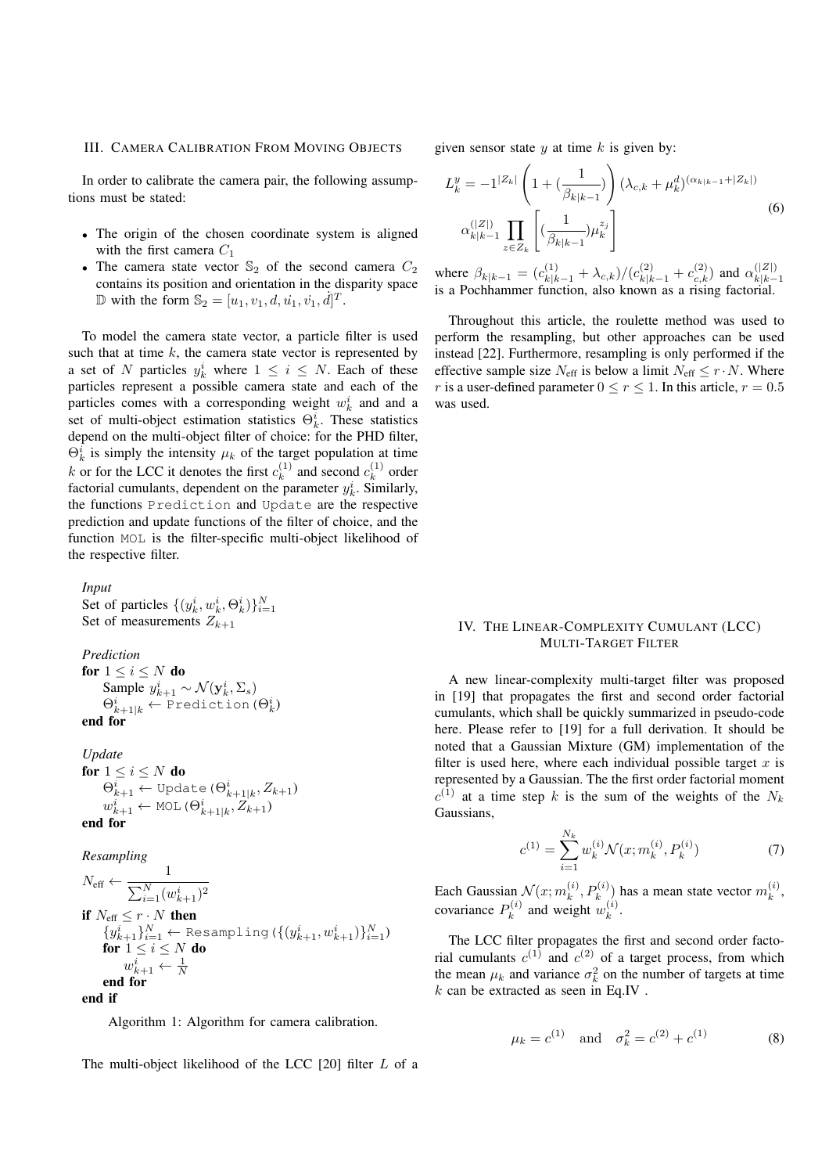#### III. CAMERA CALIBRATION FROM MOVING OBJECTS

In order to calibrate the camera pair, the following assumptions must be stated:

- The origin of the chosen coordinate system is aligned with the first camera  $C_1$
- The camera state vector  $\mathbb{S}_2$  of the second camera  $C_2$ contains its position and orientation in the disparity space  $\mathbb{D}$  with the form  $\mathbb{S}_2 = [u_1, v_1, d, \dot{u_1}, \dot{v_1}, \dot{d}]^T$ .

To model the camera state vector, a particle filter is used such that at time  $k$ , the camera state vector is represented by a set of N particles  $y_k^i$  where  $1 \leq i \leq N$ . Each of these particles represent a possible camera state and each of the particles comes with a corresponding weight  $w_k^i$  and and a set of multi-object estimation statistics  $\Theta_k^i$ . These statistics depend on the multi-object filter of choice: for the PHD filter,  $\Theta_k^i$  is simply the intensity  $\mu_k$  of the target population at time k or for the LCC it denotes the first  $c_k^{(1)}$  $k \choose k$  and second  $c_k^{(1)}$  $k^{(1)}$  order factorial cumulants, dependent on the parameter  $y_k^i$ . Similarly, the functions Prediction and Update are the respective prediction and update functions of the filter of choice, and the function MOL is the filter-specific multi-object likelihood of the respective filter.

*Input* Set of particles  $\{(y_k^i, w_k^i, \Theta_k^i)\}_{i=1}^N$ Set of measurements  $Z_{k+1}$ 

#### *Prediction*

for  $1 \leq i \leq N$  do Sample  $y_{k+1}^i \sim \mathcal{N}(\mathbf{y}_k^i, \Sigma_s)$  $\Theta_{k+1|k}^i \leftarrow \texttt{Prediction} \left( \Theta_k^i \right)$ end for

*Update*

for  $1 \leq i \leq N$  do  $\Theta_{k+1}^i \leftarrow \texttt{Update}\left(\Theta_{k+1|k}^i, Z_{k+1}\right)$  $w_{k+1}^i \leftarrow \texttt{MOL} \left( \Theta_{k+1|k}^i, Z_{k+1} \right)$ end for

*Resampling*

 $N_{\text{eff}} \leftarrow \frac{1}{\sum_{N \in \mathcal{N}} N_{\text{eff}}}$  $\sum_{i=1}^{N} (w_{k+1}^i)^2$ if  $N_{\text{eff}} \leq r \cdot N$  then  $\{y_{k+1}^i\}_{i=1}^N \leftarrow \texttt{Resampling}\left(\{(y_{k+1}^i, w_{k+1}^i)\}_{i=1}^N\right)$ for  $1 \leq i \leq N$  do  $w_{k+1}^i \leftarrow \frac{1}{N}$ end for end if

Algorithm 1: Algorithm for camera calibration.

The multi-object likelihood of the LCC [20] filter L of a

given sensor state  $y$  at time  $k$  is given by:

$$
L_k^y = -1^{|Z_k|} \left( 1 + \left( \frac{1}{\beta_{k|k-1}} \right) \right) (\lambda_{c,k} + \mu_k^d)^{(\alpha_{k|k-1} + |Z_k|)} \n\alpha_{k|k-1}^{(|Z|)} \prod_{z \in Z_k} \left[ \left( \frac{1}{\beta_{k|k-1}} \right) \mu_k^{z_j} \right]
$$
\n(6)

where  $\beta_{k|k-1} = (c_{k|k-1}^{(1)} + \lambda_{c,k})/(c_{k|k-1}^{(2)} + c_{c,k}^{(2)})$  and  $\alpha_{k|k-1}^{(|Z|)}$ where  $\frac{\beta_k}{k-1} = \frac{C_k}{k-1} + \frac{\gamma_{c,k}}{\gamma_{c,k-1}} + \frac{C_k}{k-1} + \frac{C_k}{k-1}$  is a Pochhammer function, also known as a rising factorial.

Throughout this article, the roulette method was used to perform the resampling, but other approaches can be used instead [22]. Furthermore, resampling is only performed if the effective sample size  $N_{\text{eff}}$  is below a limit  $N_{\text{eff}} \leq r \cdot N$ . Where r is a user-defined parameter  $0 \le r \le 1$ . In this article,  $r = 0.5$ was used.

#### IV. THE LINEAR-COMPLEXITY CUMULANT (LCC) MULTI-TARGET FILTER

A new linear-complexity multi-target filter was proposed in [19] that propagates the first and second order factorial cumulants, which shall be quickly summarized in pseudo-code here. Please refer to [19] for a full derivation. It should be noted that a Gaussian Mixture (GM) implementation of the filter is used here, where each individual possible target  $x$  is represented by a Gaussian. The the first order factorial moment  $c^{(1)}$  at a time step k is the sum of the weights of the  $N_k$ Gaussians,

$$
c^{(1)} = \sum_{i=1}^{N_k} w_k^{(i)} \mathcal{N}(x; m_k^{(i)}, P_k^{(i)})
$$
(7)

Each Gaussian  $\mathcal{N}(x; m_k^{(i)})$  $(k, P_k^{(i)})$  has a mean state vector  $m_k^{(i)}$  $\mathbf{r}^{(i)}_k$ covariance  $P_k^{(i)}$  $u_k^{(i)}$  and weight  $w_k^{(i)}$  $\binom{v}{k}$ .

The LCC filter propagates the first and second order factorial cumulants  $c^{(1)}$  and  $c^{(2)}$  of a target process, from which the mean  $\mu_k$  and variance  $\sigma_k^2$  on the number of targets at time  $k$  can be extracted as seen in Eq.IV.

$$
\mu_k = c^{(1)}
$$
 and  $\sigma_k^2 = c^{(2)} + c^{(1)}$  (8)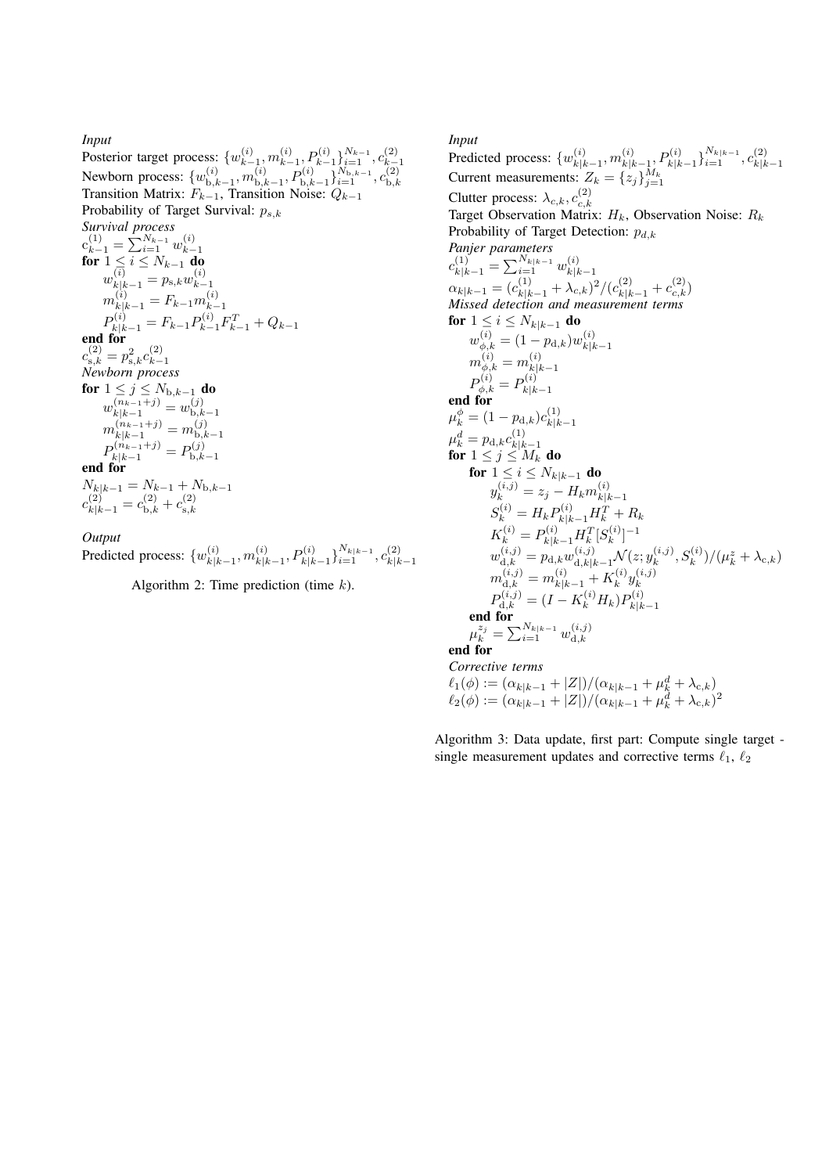#### *Input* Posterior target process:  $\{w_{k-1}^{(i)}\}$  $_{k-1}^{(i)},m_{k-1}^{(i)}$  $\binom{i}{k-1}, \binom{p(i)}{k-1} \sum_{i=1}^{N_{k-1}}, c_{k-1}^{(2)}$ Newborn process:  $\{w_{\mathbf{b},k}^{(i)}\}$  $\mathbf{h}_{\mathrm{b},k-1}^{(i)},m_{\mathrm{b},k}^{(i)}$  $\{b,k-1}^{(i)},P_{\mathrm{b},k-1}^{(i)}\}_{i=1}^{N_{\mathrm{b},k-1}},c_{\mathrm{b},k}^{(2)}$ Transition Matrix:  $F_{k-1}$ , Transition Noise:  $Q_{k-1}$ <br>Transition Matrix:  $F_{k-1}$ , Transition Noise:  $Q_{k-1}$ Probability of Target Survival:  $p_{s,k}$ *Survival process*  $c_{k-1}^{(1)} = \sum_{i=1}^{N_{k-1}} w_{k-i}^{(i)}$  $\mathbf{f} \mathbf{or}$   $1 \leq i \leq N_{k-1}$  do  $w_{k|k-1}^{(i)} = p_{\mathrm{s},k} w_{k-1}^{(i)}$  $k-1$  $m_{k|k-1}^{(i)} = F_{k-1} m_{k-1}^{(i)}$  $k-1$  $P_{k|k-1}^{(i)} = F_{k-1} P_{k-1}^{(i)} F_{k-1}^{T} + Q_{k-1}$ end for  $c_{\text{s},k}^{(2)} = p_{\text{s},k}^2 c_{k-}^{(2)}$  $k-1$ *Newborn process* for  $1 \leq j \leq N_{\mathrm{b},k-1}$  do  $w_{k|k-1}^{(n_{k-1}+j)} = w_{\text{b},k}^{(j)}$  $_{\text{b},k-1}$  $m_{k|k-1}^{(n_{k-1}+j)} = m_{\mathrm{b},k}^{(j)}$  $_{\text{b},k-1}$  $P_{k|k-1}^{(n_{k-1}+j)} = P_{\text{b},k}^{(j)}$  $\frac{d}{k|k-1}$  =  $\frac{d}{k-1}$ <br>end for  $N_{k|k-1} = N_{k-1} + N_{b,k-1}$  $c_{k|k-1}^{(2)} = c_{\text{b},k}^{(2)} + c_{\text{s},k}^{(2)}$

*Output*

Predicted process:  $\{w_{k|k}^{(i)}\}$  $\binom{i}{k|k-1},m^{(i)}_{k|k}$  $\{S_{k|k-1}^{(i)}, P_{k|k-1}^{(i)}\}_{i=1}^{N_{k|k-1}}, c_{k|k}^{(2)}$  $|k|k-1$ 

Algorithm 2: Time prediction (time  $k$ ).

 $^{\mathrm{s},k}$ 

*Input* Predicted process:  $\{w_{k|l}^{(i)}\}$  $_{\left. k \right| k-1}^{\left( i \right)},m_{k\left| k \right.}^{\left( i \right)}$  $\{k|k-1, P_{k|k-1}^{(i)}\}_{i=1}^{N_{k|k-1}}, c_{k|k}^{(2)}$  $k|k-1$ Current measurements:  $Z_k = \{z_j\}_{j=1}^{M_k}$ Clutter process:  $\lambda_{c,k}, c_{c,k}^{(2)}$  $_{c,k}$ Target Observation Matrix:  $H_k$ , Observation Noise:  $R_k$ Probability of Target Detection:  $p_{d,k}$ *Panjer parameters*  $c_{k|k-1}^{(1)} = \sum_{i=1}^{N_{k|k-1}} w_{k|k}^{(i)}$  $k|k-1$  $\alpha_{k|k-1} = (c_{k|k-1}^{(1)} + \lambda_{c,k})^2/(c_{k|k-1}^{(2)} + c_{c,k}^{(2)})$ *Missed detection and measurement terms* for  $1 \leq i \leq N_{k|k-1}$  do  $w_{\phi,k}^{(i)} = (1-p_{\text{d},k})w_{k|k}^{(i)}$  $k|k-1$  $m_{\phi,k}^{(i)}=m_{k|l}^{(i)}$  $k|k-1$  $P_{\phi,k}^{(i)} = P_{k|k}^{(i)}$  $\int_{-\infty}^{\infty} \frac{1}{k} \phi_k k^{-1} k|k-1|$  end for  $\mu_k^\phi = (1-p_{\mathrm{d},k})c_{k|k}^{(1)}$  $k|k-1$  $\mu_k^d=p_{\text{d},k}c_{k|k}^{(1)}$  $\mu_k - \mu_{\text{d},k}$ c $_{k|k-1}$ <br>for  $1 \leq j \leq M_k$  do for  $1 \leq i \leq N_{k|k-1}$  do  $y_k^{(i,j)}=z_j-H_k m_{k|k}^{(i)}$  $k|k-1$  $S_k^{(i)} = H_k P_{k|k-1}^{(i)} H_k^T + R_k$  $K_k^{(i)} = P_{k|k-1}^{(i)} H_k^T [S_k^{(i)}]$  $\binom{k}{k}$  $-1$  $w_{\mathrm{d},k}^{(i,j)} = p_{\mathrm{d},k} w_{\mathrm{d},k|k-1}^{(i,j)} \mathcal{N}(z;y_k^{(i,j)})$  $(k^{(i,j)}_k,S^{(i)}_k)/(\mu^z_k+\lambda_{\mathrm{c},k})$  $m_{\mathrm{d},k}^{(i,j)} = m_{k|k-1}^{(i)} + K_k^{(i)}$  $_k^{(i)}y_k^{(i,j)}$ k  $P_{\text{d},k}^{(i,j)} = (I - K_k^{(i)} H_k) P_{k|k}^{(i)}$  $k|k-1$ end for  $\mu_k^{z_j} = \sum_{i=1}^{N_{k|k-1}} w_{\mathrm{d},k}^{(i,j)}$  $^{\mathrm{d},k}$ end for *Corrective terms*  $\ell_1(\phi) := (\alpha_{k|k-1} + |Z|)/(\alpha_{k|k-1} + \mu_k^d + \lambda_{c,k})$  $\ell_2(\phi) := (\alpha_{k|k-1} + |Z|)/(\alpha_{k|k-1} + \mu_k^d + \lambda_{c,k})^2$ 

Algorithm 3: Data update, first part: Compute single target single measurement updates and corrective terms  $\ell_1$ ,  $\ell_2$ 

 $k-1$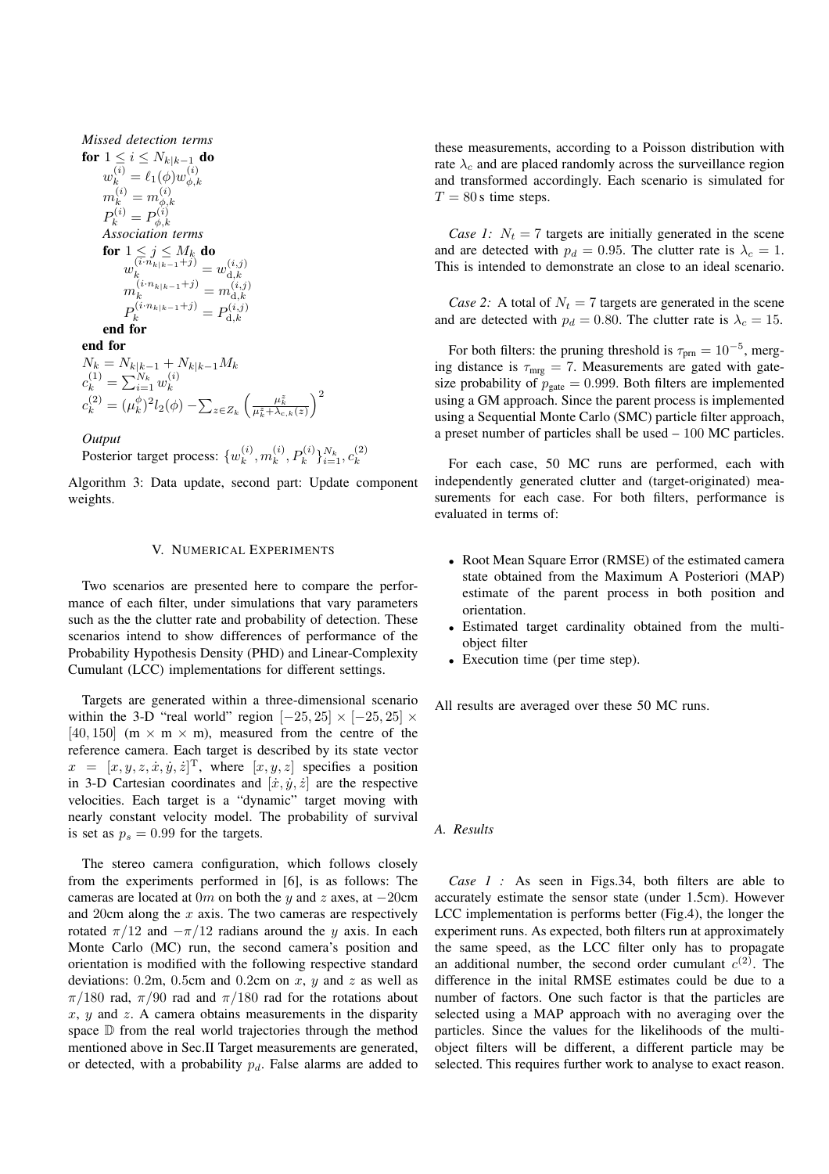*Missical detection terms*  
\n**for** 
$$
1 \le i \le N_{k|k-1}
$$
 **do**  
\n $w_k^{(i)} = \ell_1(\phi) w_{\phi,k}^{(i)}$   
\n $m_k^{(i)} = m_{\phi,k}^{(i)}$   
\n $P_k^{(i)} = P_{\phi,k}^{(i)}$   
\n**Association terms**  
\n**for**  $1 \le j \le M_k$  **do**  
\n $w_k^{(i \cdot n_{k|k-1}+j)} = w_{\mathrm{d},k}^{(i,j)}$   
\n $m_k^{(i \cdot n_{k|k-1}+j)} = m_{\mathrm{d},k}^{(i,j)}$   
\n $P_k^{(i \cdot n_{k|k-1}+j)} = P_{\mathrm{d},k}^{(i,j)}$   
\n**end for**  
\n**end for**  
\n $N_k = N_{k|k-1} + N_{k|k-1}M_k$   
\n $c_k^{(1)} = \sum_{i=1}^{N_k} w_k^{(i)}$ 

*Missed detection terms*

$$
c_k^{\left(2\right)} = \left(\mu_k^{\phi}\right)^2 l_2(\phi) - \sum_{z \in Z_k} \left(\frac{\mu_k^z}{\mu_k^z + \lambda_{c,k}(z)}\right)^2
$$

*Output*

Posterior target process:  $\{w_k^{(i)}\}$  $_k^{(i)}, m_k^{(i)}$  $\binom{(i)}{k}, P_k^{(i)}\}_{i=1}^{N_k}, c_k^{(2)}$ k

Algorithm 3: Data update, second part: Update component weights.

#### V. NUMERICAL EXPERIMENTS

Two scenarios are presented here to compare the performance of each filter, under simulations that vary parameters such as the the clutter rate and probability of detection. These scenarios intend to show differences of performance of the Probability Hypothesis Density (PHD) and Linear-Complexity Cumulant (LCC) implementations for different settings.

Targets are generated within a three-dimensional scenario within the 3-D "real world" region  $[-25, 25] \times [-25, 25] \times$ [40, 150] (m  $\times$  m  $\times$  m), measured from the centre of the reference camera. Each target is described by its state vector  $x = [x, y, z, \dot{x}, \dot{y}, \dot{z}]^{\mathrm{T}}$ , where  $[x, y, z]$  specifies a position in 3-D Cartesian coordinates and  $[\dot{x}, \dot{y}, \dot{z}]$  are the respective velocities. Each target is a "dynamic" target moving with nearly constant velocity model. The probability of survival is set as  $p_s = 0.99$  for the targets.

The stereo camera configuration, which follows closely from the experiments performed in [6], is as follows: The cameras are located at 0m on both the y and z axes, at  $-20$ cm and 20cm along the  $x$  axis. The two cameras are respectively rotated  $\pi/12$  and  $-\pi/12$  radians around the y axis. In each Monte Carlo (MC) run, the second camera's position and orientation is modified with the following respective standard deviations: 0.2m, 0.5cm and 0.2cm on  $x$ ,  $y$  and  $z$  as well as  $\pi/180$  rad,  $\pi/90$  rad and  $\pi/180$  rad for the rotations about  $x, y$  and  $z$ . A camera obtains measurements in the disparity space  $\mathbb D$  from the real world trajectories through the method mentioned above in Sec.II Target measurements are generated, or detected, with a probability  $p_d$ . False alarms are added to

these measurements, according to a Poisson distribution with rate  $\lambda_c$  and are placed randomly across the surveillance region and transformed accordingly. Each scenario is simulated for  $T = 80$  s time steps.

*Case 1:*  $N_t = 7$  targets are initially generated in the scene and are detected with  $p_d = 0.95$ . The clutter rate is  $\lambda_c = 1$ . This is intended to demonstrate an close to an ideal scenario.

*Case 2:* A total of  $N_t = 7$  targets are generated in the scene and are detected with  $p_d = 0.80$ . The clutter rate is  $\lambda_c = 15$ .

For both filters: the pruning threshold is  $\tau_{\text{prn}} = 10^{-5}$ , merging distance is  $\tau_{\rm mrg} = 7$ . Measurements are gated with gatesize probability of  $p_{\text{gate}} = 0.999$ . Both filters are implemented using a GM approach. Since the parent process is implemented using a Sequential Monte Carlo (SMC) particle filter approach, a preset number of particles shall be used – 100 MC particles.

For each case, 50 MC runs are performed, each with independently generated clutter and (target-originated) measurements for each case. For both filters, performance is evaluated in terms of:

- Root Mean Square Error (RMSE) of the estimated camera state obtained from the Maximum A Posteriori (MAP) estimate of the parent process in both position and orientation.
- Estimated target cardinality obtained from the multiobject filter
- Execution time (per time step).

All results are averaged over these 50 MC runs.

#### *A. Results*

*Case 1 :* As seen in Figs. 34, both filters are able to accurately estimate the sensor state (under 1.5cm). However LCC implementation is performs better (Fig.4), the longer the experiment runs. As expected, both filters run at approximately the same speed, as the LCC filter only has to propagate an additional number, the second order cumulant  $c^{(2)}$ . The difference in the inital RMSE estimates could be due to a number of factors. One such factor is that the particles are selected using a MAP approach with no averaging over the particles. Since the values for the likelihoods of the multiobject filters will be different, a different particle may be selected. This requires further work to analyse to exact reason.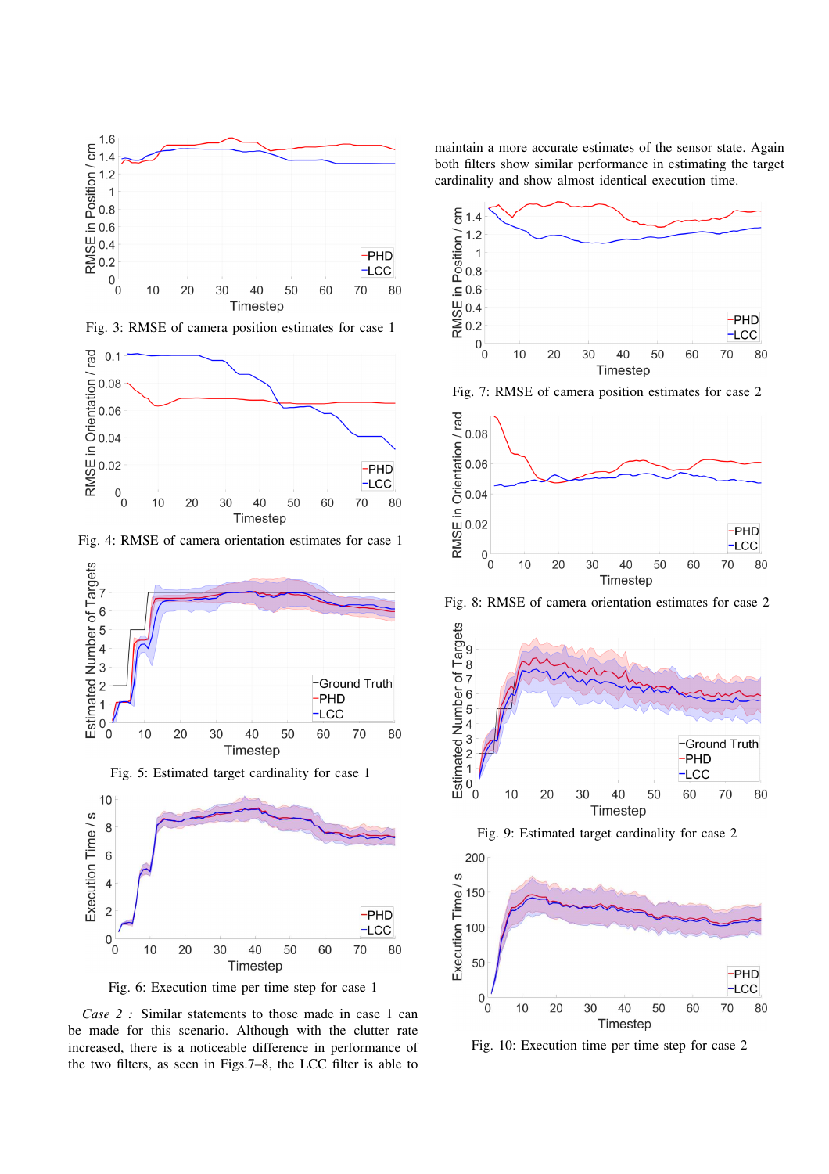



Fig. 4: RMSE of camera orientation estimates for case 1



Fig. 6: Execution time per time step for case 1

*Case 2 :* Similar statements to those made in case 1 can be made for this scenario. Although with the clutter rate increased, there is a noticeable difference in performance of the two filters, as seen in Figs.7–8, the LCC filter is able to maintain a more accurate estimates of the sensor state. Again both filters show similar performance in estimating the target cardinality and show almost identical execution time.



Fig. 7: RMSE of camera position estimates for case 2



Fig. 8: RMSE of camera orientation estimates for case 2





Fig. 10: Execution time per time step for case 2